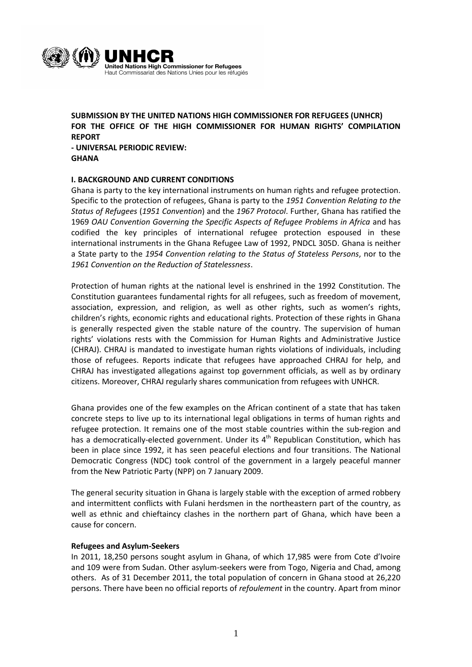

**SUBMISSION BY THE UNITED NATIONS HIGH COMMISSIONER FOR REFUGEES (UNHCR) FOR THE OFFICE OF THE HIGH COMMISSIONER FOR HUMAN RIGHTS' COMPILATION REPORT**

**- UNIVERSAL PERIODIC REVIEW: GHANA**

# **I. BACKGROUND AND CURRENT CONDITIONS**

Ghana is party to the key international instruments on human rights and refugee protection. Specific to the protection of refugees, Ghana is party to the *1951 Convention Relating to the Status of Refugees* (*1951 Convention*) and the *1967 Protocol*. Further, Ghana has ratified the 1969 *OAU Convention Governing the Specific Aspects of Refugee Problems in Africa* and has codified the key principles of international refugee protection espoused in these international instruments in the Ghana Refugee Law of 1992, PNDCL 305D. Ghana is neither a State party to the *1954 Convention relating to the Status of Stateless Persons*, nor to the *1961 Convention on the Reduction of Statelessness*.

Protection of human rights at the national level is enshrined in the 1992 Constitution. The Constitution guarantees fundamental rights for all refugees, such as freedom of movement, association, expression, and religion, as well as other rights, such as women's rights, children's rights, economic rights and educational rights. Protection of these rights in Ghana is generally respected given the stable nature of the country. The supervision of human rights' violations rests with the Commission for Human Rights and Administrative Justice (CHRAJ). CHRAJ is mandated to investigate human rights violations of individuals, including those of refugees. Reports indicate that refugees have approached CHRAJ for help, and CHRAJ has investigated allegations against top government officials, as well as by ordinary citizens. Moreover, CHRAJ regularly shares communication from refugees with UNHCR.

Ghana provides one of the few examples on the African continent of a state that has taken concrete steps to live up to its international legal obligations in terms of human rights and refugee protection. It remains one of the most stable countries within the sub-region and has a democratically-elected government. Under its  $4<sup>th</sup>$  Republican Constitution, which has been in place since 1992, it has seen peaceful elections and four transitions. The National Democratic Congress (NDC) took control of the government in a largely peaceful manner from the New Patriotic Party (NPP) on 7 January 2009.

The general security situation in Ghana is largely stable with the exception of armed robbery and intermittent conflicts with Fulani herdsmen in the northeastern part of the country, as well as ethnic and chieftaincy clashes in the northern part of Ghana, which have been a cause for concern.

#### **Refugees and Asylum-Seekers**

In 2011, 18,250 persons sought asylum in Ghana, of which 17,985 were from Cote d'Ivoire and 109 were from Sudan. Other asylum-seekers were from Togo, Nigeria and Chad, among others. As of 31 December 2011, the total population of concern in Ghana stood at 26,220 persons. There have been no official reports of *refoulement* in the country. Apart from minor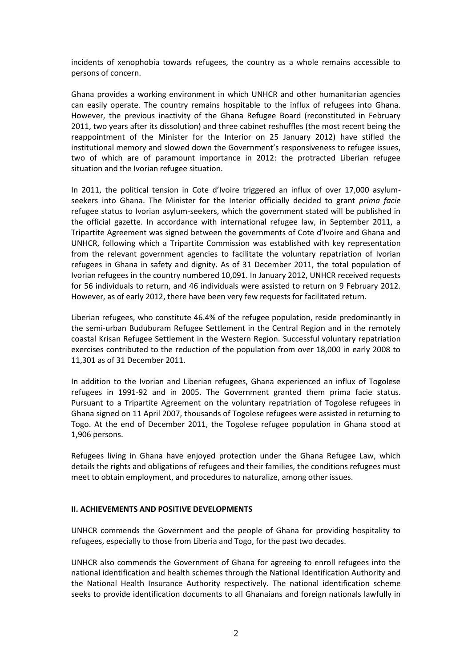incidents of xenophobia towards refugees, the country as a whole remains accessible to persons of concern.

Ghana provides a working environment in which UNHCR and other humanitarian agencies can easily operate. The country remains hospitable to the influx of refugees into Ghana. However, the previous inactivity of the Ghana Refugee Board (reconstituted in February 2011, two years after its dissolution) and three cabinet reshuffles (the most recent being the reappointment of the Minister for the Interior on 25 January 2012) have stifled the institutional memory and slowed down the Government's responsiveness to refugee issues, two of which are of paramount importance in 2012: the protracted Liberian refugee situation and the Ivorian refugee situation.

In 2011, the political tension in Cote d'Ivoire triggered an influx of over 17,000 asylumseekers into Ghana. The Minister for the Interior officially decided to grant *prima facie* refugee status to Ivorian asylum-seekers, which the government stated will be published in the official gazette. In accordance with international refugee law, in September 2011, a Tripartite Agreement was signed between the governments of Cote d'Ivoire and Ghana and UNHCR, following which a Tripartite Commission was established with key representation from the relevant government agencies to facilitate the voluntary repatriation of Ivorian refugees in Ghana in safety and dignity. As of 31 December 2011, the total population of Ivorian refugees in the country numbered 10,091. In January 2012, UNHCR received requests for 56 individuals to return, and 46 individuals were assisted to return on 9 February 2012. However, as of early 2012, there have been very few requests for facilitated return.

Liberian refugees, who constitute 46.4% of the refugee population, reside predominantly in the semi-urban Buduburam Refugee Settlement in the Central Region and in the remotely coastal Krisan Refugee Settlement in the Western Region. Successful voluntary repatriation exercises contributed to the reduction of the population from over 18,000 in early 2008 to 11,301 as of 31 December 2011.

In addition to the Ivorian and Liberian refugees, Ghana experienced an influx of Togolese refugees in 1991-92 and in 2005. The Government granted them prima facie status. Pursuant to a Tripartite Agreement on the voluntary repatriation of Togolese refugees in Ghana signed on 11 April 2007, thousands of Togolese refugees were assisted in returning to Togo. At the end of December 2011, the Togolese refugee population in Ghana stood at 1,906 persons.

Refugees living in Ghana have enjoyed protection under the Ghana Refugee Law, which details the rights and obligations of refugees and their families, the conditions refugees must meet to obtain employment, and procedures to naturalize, among other issues.

# **II. ACHIEVEMENTS AND POSITIVE DEVELOPMENTS**

UNHCR commends the Government and the people of Ghana for providing hospitality to refugees, especially to those from Liberia and Togo, for the past two decades.

UNHCR also commends the Government of Ghana for agreeing to enroll refugees into the national identification and health schemes through the National Identification Authority and the National Health Insurance Authority respectively. The national identification scheme seeks to provide identification documents to all Ghanaians and foreign nationals lawfully in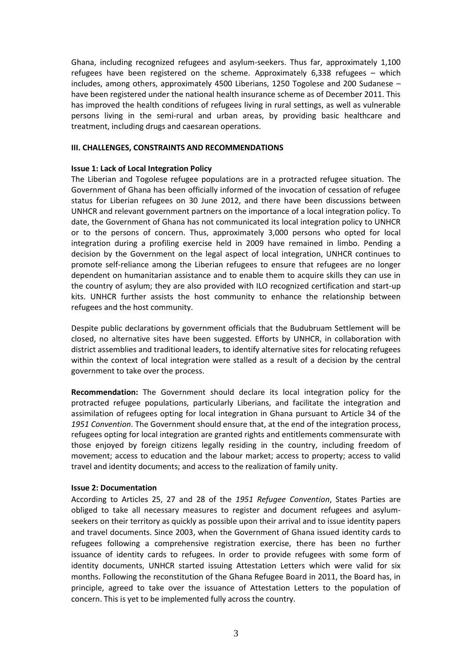Ghana, including recognized refugees and asylum-seekers. Thus far, approximately 1,100 refugees have been registered on the scheme. Approximately 6,338 refugees – which includes, among others, approximately 4500 Liberians, 1250 Togolese and 200 Sudanese – have been registered under the national health insurance scheme as of December 2011. This has improved the health conditions of refugees living in rural settings, as well as vulnerable persons living in the semi-rural and urban areas, by providing basic healthcare and treatment, including drugs and caesarean operations.

### **III. CHALLENGES, CONSTRAINTS AND RECOMMENDATIONS**

### **Issue 1: Lack of Local Integration Policy**

The Liberian and Togolese refugee populations are in a protracted refugee situation. The Government of Ghana has been officially informed of the invocation of cessation of refugee status for Liberian refugees on 30 June 2012, and there have been discussions between UNHCR and relevant government partners on the importance of a local integration policy. To date, the Government of Ghana has not communicated its local integration policy to UNHCR or to the persons of concern. Thus, approximately 3,000 persons who opted for local integration during a profiling exercise held in 2009 have remained in limbo. Pending a decision by the Government on the legal aspect of local integration, UNHCR continues to promote self-reliance among the Liberian refugees to ensure that refugees are no longer dependent on humanitarian assistance and to enable them to acquire skills they can use in the country of asylum; they are also provided with ILO recognized certification and start-up kits. UNHCR further assists the host community to enhance the relationship between refugees and the host community.

Despite public declarations by government officials that the Budubruam Settlement will be closed, no alternative sites have been suggested. Efforts by UNHCR, in collaboration with district assemblies and traditional leaders, to identify alternative sites for relocating refugees within the context of local integration were stalled as a result of a decision by the central government to take over the process.

**Recommendation:** The Government should declare its local integration policy for the protracted refugee populations, particularly Liberians, and facilitate the integration and assimilation of refugees opting for local integration in Ghana pursuant to Article 34 of the *1951 Convention*. The Government should ensure that, at the end of the integration process, refugees opting for local integration are granted rights and entitlements commensurate with those enjoyed by foreign citizens legally residing in the country, including freedom of movement; access to education and the labour market; access to property; access to valid travel and identity documents; and access to the realization of family unity.

# **Issue 2: Documentation**

According to Articles 25, 27 and 28 of the *1951 Refugee Convention*, States Parties are obliged to take all necessary measures to register and document refugees and asylumseekers on their territory as quickly as possible upon their arrival and to issue identity papers and travel documents. Since 2003, when the Government of Ghana issued identity cards to refugees following a comprehensive registration exercise, there has been no further issuance of identity cards to refugees. In order to provide refugees with some form of identity documents, UNHCR started issuing Attestation Letters which were valid for six months. Following the reconstitution of the Ghana Refugee Board in 2011, the Board has, in principle, agreed to take over the issuance of Attestation Letters to the population of concern. This is yet to be implemented fully across the country.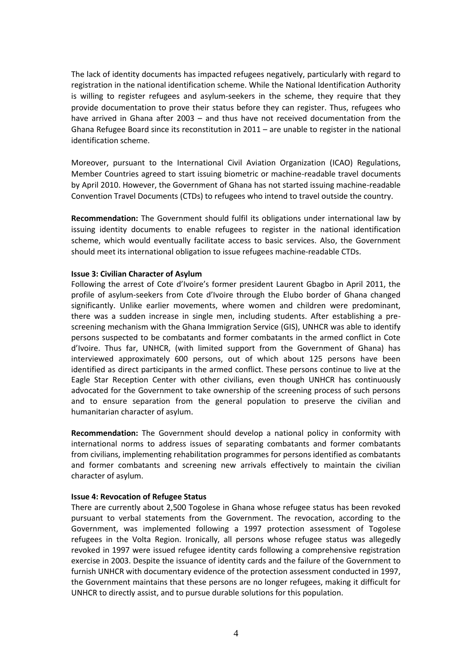The lack of identity documents has impacted refugees negatively, particularly with regard to registration in the national identification scheme. While the National Identification Authority is willing to register refugees and asylum-seekers in the scheme, they require that they provide documentation to prove their status before they can register. Thus, refugees who have arrived in Ghana after 2003 – and thus have not received documentation from the Ghana Refugee Board since its reconstitution in 2011 – are unable to register in the national identification scheme.

Moreover, pursuant to the International Civil Aviation Organization (ICAO) Regulations, Member Countries agreed to start issuing biometric or machine-readable travel documents by April 2010. However, the Government of Ghana has not started issuing machine-readable Convention Travel Documents (CTDs) to refugees who intend to travel outside the country.

**Recommendation:** The Government should fulfil its obligations under international law by issuing identity documents to enable refugees to register in the national identification scheme, which would eventually facilitate access to basic services. Also, the Government should meet its international obligation to issue refugees machine-readable CTDs.

### **Issue 3: Civilian Character of Asylum**

Following the arrest of Cote d'Ivoire's former president Laurent Gbagbo in April 2011, the profile of asylum-seekers from Cote d'Ivoire through the Elubo border of Ghana changed significantly. Unlike earlier movements, where women and children were predominant, there was a sudden increase in single men, including students. After establishing a prescreening mechanism with the Ghana Immigration Service (GIS), UNHCR was able to identify persons suspected to be combatants and former combatants in the armed conflict in Cote d'Ivoire. Thus far, UNHCR, (with limited support from the Government of Ghana) has interviewed approximately 600 persons, out of which about 125 persons have been identified as direct participants in the armed conflict. These persons continue to live at the Eagle Star Reception Center with other civilians, even though UNHCR has continuously advocated for the Government to take ownership of the screening process of such persons and to ensure separation from the general population to preserve the civilian and humanitarian character of asylum.

**Recommendation:** The Government should develop a national policy in conformity with international norms to address issues of separating combatants and former combatants from civilians, implementing rehabilitation programmes for persons identified as combatants and former combatants and screening new arrivals effectively to maintain the civilian character of asylum.

# **Issue 4: Revocation of Refugee Status**

There are currently about 2,500 Togolese in Ghana whose refugee status has been revoked pursuant to verbal statements from the Government. The revocation, according to the Government, was implemented following a 1997 protection assessment of Togolese refugees in the Volta Region. Ironically, all persons whose refugee status was allegedly revoked in 1997 were issued refugee identity cards following a comprehensive registration exercise in 2003. Despite the issuance of identity cards and the failure of the Government to furnish UNHCR with documentary evidence of the protection assessment conducted in 1997, the Government maintains that these persons are no longer refugees, making it difficult for UNHCR to directly assist, and to pursue durable solutions for this population.